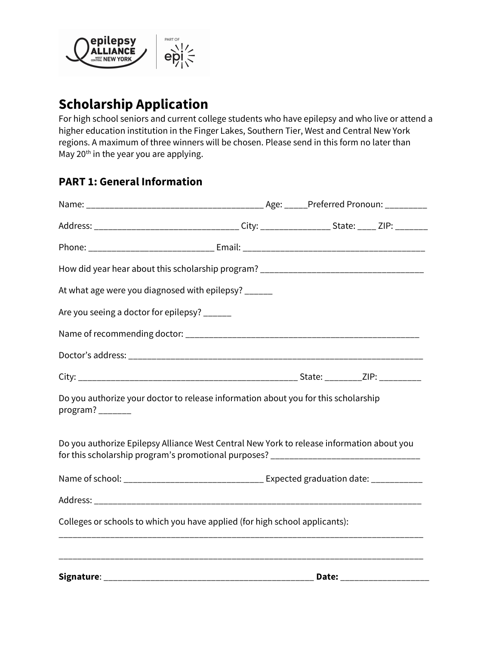

# Scholarship Application

For high school seniors and current college students who have epilepsy and who live or attend a higher education institution in the Finger Lakes, Southern Tier, West and Central New York regions. A maximum of three winners will be chosen. Please send in this form no later than May 20<sup>th</sup> in the year you are applying.

# PART 1: General Information

| How did year hear about this scholarship program? _______________________________                                                                                             |  |  |  |
|-------------------------------------------------------------------------------------------------------------------------------------------------------------------------------|--|--|--|
| At what age were you diagnosed with epilepsy? ______                                                                                                                          |  |  |  |
| Are you seeing a doctor for epilepsy? ______                                                                                                                                  |  |  |  |
|                                                                                                                                                                               |  |  |  |
|                                                                                                                                                                               |  |  |  |
|                                                                                                                                                                               |  |  |  |
| Do you authorize your doctor to release information about you for this scholarship                                                                                            |  |  |  |
| Do you authorize Epilepsy Alliance West Central New York to release information about you<br>for this scholarship program's promotional purposes? ___________________________ |  |  |  |
|                                                                                                                                                                               |  |  |  |
|                                                                                                                                                                               |  |  |  |
| Colleges or schools to which you have applied (for high school applicants):                                                                                                   |  |  |  |
|                                                                                                                                                                               |  |  |  |